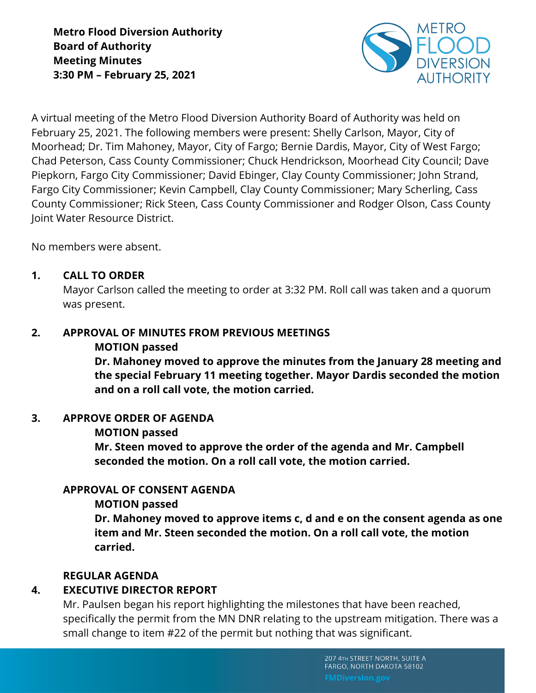

A virtual meeting of the Metro Flood Diversion Authority Board of Authority was held on February 25, 2021. The following members were present: Shelly Carlson, Mayor, City of Moorhead; Dr. Tim Mahoney, Mayor, City of Fargo; Bernie Dardis, Mayor, City of West Fargo; Chad Peterson, Cass County Commissioner; Chuck Hendrickson, Moorhead City Council; Dave Piepkorn, Fargo City Commissioner; David Ebinger, Clay County Commissioner; John Strand, Fargo City Commissioner; Kevin Campbell, Clay County Commissioner; Mary Scherling, Cass County Commissioner; Rick Steen, Cass County Commissioner and Rodger Olson, Cass County Joint Water Resource District.

No members were absent.

# **1. CALL TO ORDER**

Mayor Carlson called the meeting to order at 3:32 PM. Roll call was taken and a quorum was present.

# **2. APPROVAL OF MINUTES FROM PREVIOUS MEETINGS**

### **MOTION passed**

**Dr. Mahoney moved to approve the minutes from the January 28 meeting and the special February 11 meeting together. Mayor Dardis seconded the motion and on a roll call vote, the motion carried.** 

# **3. APPROVE ORDER OF AGENDA**

# **MOTION passed**

**Mr. Steen moved to approve the order of the agenda and Mr. Campbell seconded the motion. On a roll call vote, the motion carried.**

# **APPROVAL OF CONSENT AGENDA**

# **MOTION passed**

**Dr. Mahoney moved to approve items c, d and e on the consent agenda as one item and Mr. Steen seconded the motion. On a roll call vote, the motion carried.** 

# **REGULAR AGENDA**

# **4. EXECUTIVE DIRECTOR REPORT**

Mr. Paulsen began his report highlighting the milestones that have been reached, specifically the permit from the MN DNR relating to the upstream mitigation. There was a small change to item #22 of the permit but nothing that was significant.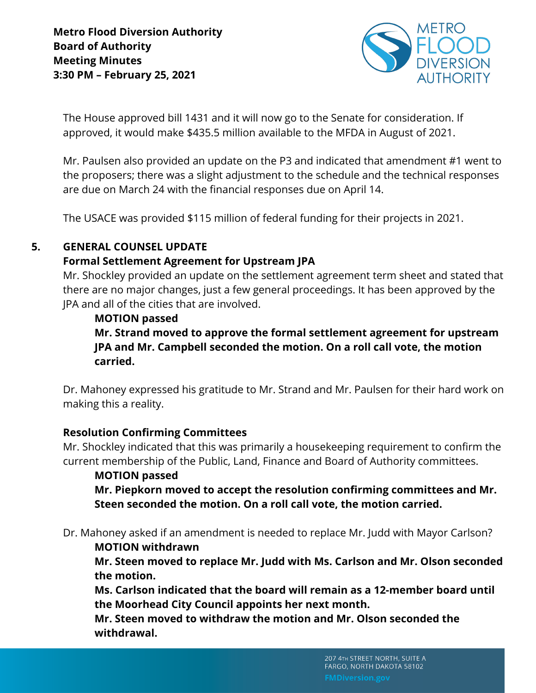

The House approved bill 1431 and it will now go to the Senate for consideration. If approved, it would make \$435.5 million available to the MFDA in August of 2021.

Mr. Paulsen also provided an update on the P3 and indicated that amendment #1 went to the proposers; there was a slight adjustment to the schedule and the technical responses are due on March 24 with the financial responses due on April 14.

The USACE was provided \$115 million of federal funding for their projects in 2021.

### **5. GENERAL COUNSEL UPDATE**

### **Formal Settlement Agreement for Upstream JPA**

Mr. Shockley provided an update on the settlement agreement term sheet and stated that there are no major changes, just a few general proceedings. It has been approved by the JPA and all of the cities that are involved.

### **MOTION passed**

**Mr. Strand moved to approve the formal settlement agreement for upstream JPA and Mr. Campbell seconded the motion. On a roll call vote, the motion carried.**

Dr. Mahoney expressed his gratitude to Mr. Strand and Mr. Paulsen for their hard work on making this a reality.

#### **Resolution Confirming Committees**

Mr. Shockley indicated that this was primarily a housekeeping requirement to confirm the current membership of the Public, Land, Finance and Board of Authority committees.

#### **MOTION passed**

**Mr. Piepkorn moved to accept the resolution confirming committees and Mr. Steen seconded the motion. On a roll call vote, the motion carried.** 

Dr. Mahoney asked if an amendment is needed to replace Mr. Judd with Mayor Carlson?

#### **MOTION withdrawn**

**Mr. Steen moved to replace Mr. Judd with Ms. Carlson and Mr. Olson seconded the motion.** 

**Ms. Carlson indicated that the board will remain as a 12-member board until the Moorhead City Council appoints her next month.** 

**Mr. Steen moved to withdraw the motion and Mr. Olson seconded the withdrawal.**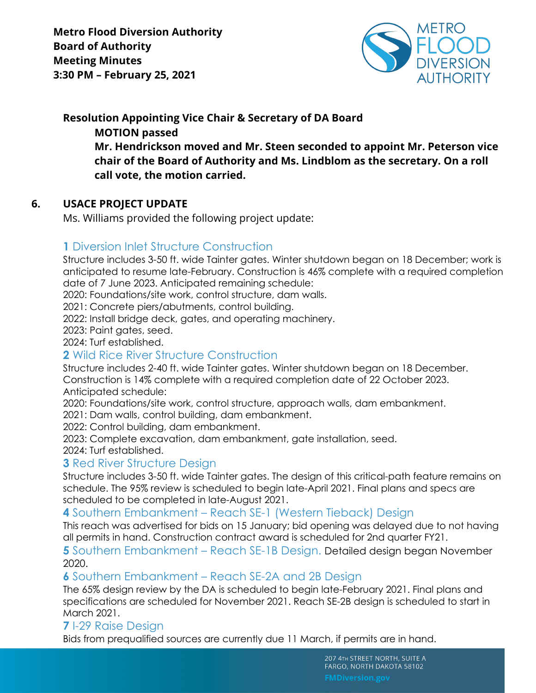

**Resolution Appointing Vice Chair & Secretary of DA Board MOTION passed Mr. Hendrickson moved and Mr. Steen seconded to appoint Mr. Peterson vice chair of the Board of Authority and Ms. Lindblom as the secretary. On a roll call vote, the motion carried.**

### **6. USACE PROJECT UPDATE**

Ms. Williams provided the following project update:

# **1** Diversion Inlet Structure Construction

Structure includes 3-50 ft. wide Tainter gates. Winter shutdown began on 18 December; work is anticipated to resume late-February. Construction is 46% complete with a required completion date of 7 June 2023. Anticipated remaining schedule:

2020: Foundations/site work, control structure, dam walls.

2021: Concrete piers/abutments, control building.

2022: Install bridge deck, gates, and operating machinery.

2023: Paint gates, seed.

2024: Turf established.

# **2** Wild Rice River Structure Construction

Structure includes 2-40 ft. wide Tainter gates. Winter shutdown began on 18 December. Construction is 14% complete with a required completion date of 22 October 2023. Anticipated schedule:

2020: Foundations/site work, control structure, approach walls, dam embankment.

2021: Dam walls, control building, dam embankment.

2022: Control building, dam embankment.

2023: Complete excavation, dam embankment, gate installation, seed.

2024: Turf established.

# **3 Red River Structure Design**

Structure includes 3-50 ft. wide Tainter gates. The design of this critical-path feature remains on schedule. The 95% review is scheduled to begin late-April 2021. Final plans and specs are scheduled to be completed in late-August 2021.

# **4** Southern Embankment – Reach SE-1 (Western Tieback) Design

This reach was advertised for bids on 15 January; bid opening was delayed due to not having all permits in hand. Construction contract award is scheduled for 2nd quarter FY21.

**5** Southern Embankment – Reach SE-1B Design. Detailed design began November 2020.

#### **6** Southern Embankment – Reach SE-2A and 2B Design

The 65% design review by the DA is scheduled to begin late-February 2021. Final plans and specifications are scheduled for November 2021. Reach SE-2B design is scheduled to start in March 2021.

# **7** I-29 Raise Design

Bids from prequalified sources are currently due 11 March, if permits are in hand.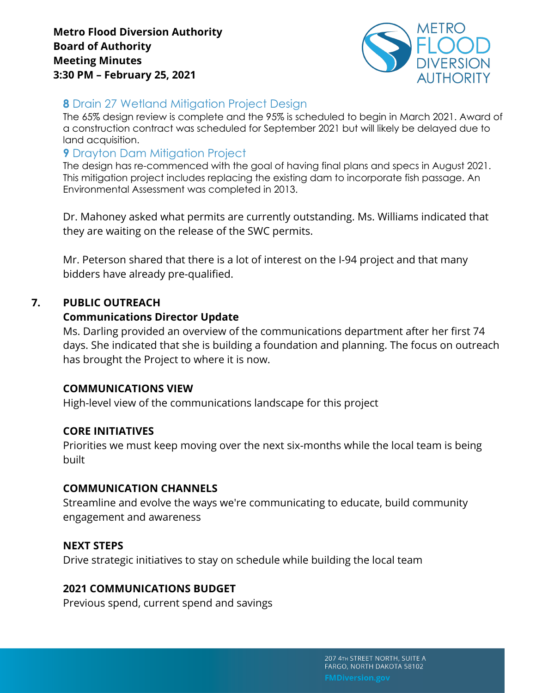

# **8** Drain 27 Wetland Mitigation Project Design

The 65% design review is complete and the 95% is scheduled to begin in March 2021. Award of a construction contract was scheduled for September 2021 but will likely be delayed due to land acquisition.

# **9 Drayton Dam Mitigation Project**

The design has re-commenced with the goal of having final plans and specs in August 2021. This mitigation project includes replacing the existing dam to incorporate fish passage. An Environmental Assessment was completed in 2013.

Dr. Mahoney asked what permits are currently outstanding. Ms. Williams indicated that they are waiting on the release of the SWC permits.

Mr. Peterson shared that there is a lot of interest on the I-94 project and that many bidders have already pre-qualified.

# **7. PUBLIC OUTREACH**

### **Communications Director Update**

Ms. Darling provided an overview of the communications department after her first 74 days. She indicated that she is building a foundation and planning. The focus on outreach has brought the Project to where it is now.

#### **COMMUNICATIONS VIEW**

High-level view of the communications landscape for this project

#### **CORE INITIATIVES**

Priorities we must keep moving over the next six-months while the local team is being built

# **COMMUNICATION CHANNELS**

Streamline and evolve the ways we're communicating to educate, build community engagement and awareness

# **NEXT STEPS**

Drive strategic initiatives to stay on schedule while building the local team

# **2021 COMMUNICATIONS BUDGET**

Previous spend, current spend and savings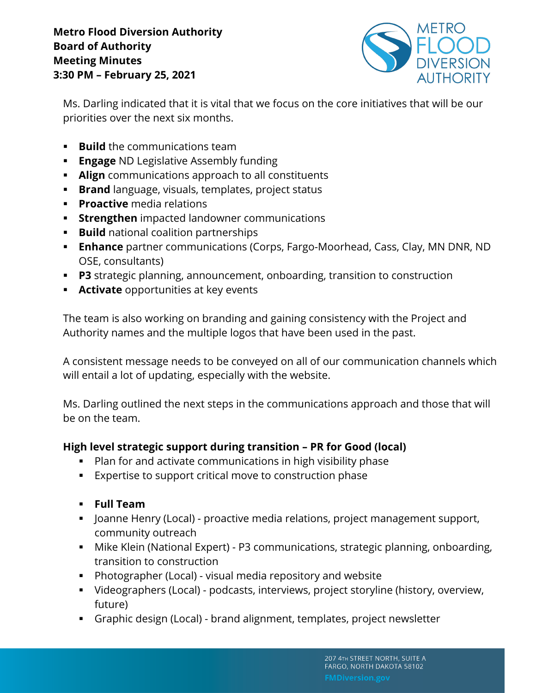

Ms. Darling indicated that it is vital that we focus on the core initiatives that will be our priorities over the next six months.

- **Build** the communications team
- **Engage** ND Legislative Assembly funding
- § **Align** communications approach to all constituents
- **Brand** language, visuals, templates, project status
- **Proactive** media relations
- **Extrengthen** impacted landowner communications
- **Build** national coalition partnerships
- **Enhance** partner communications (Corps, Fargo-Moorhead, Cass, Clay, MN DNR, ND OSE, consultants)
- § **P3** strategic planning, announcement, onboarding, transition to construction
- **EXTED Activate** opportunities at key events

The team is also working on branding and gaining consistency with the Project and Authority names and the multiple logos that have been used in the past.

A consistent message needs to be conveyed on all of our communication channels which will entail a lot of updating, especially with the website.

Ms. Darling outlined the next steps in the communications approach and those that will be on the team.

# **High level strategic support during transition – PR for Good (local)**

- Plan for and activate communications in high visibility phase
- Expertise to support critical move to construction phase
- § **Full Team**
- Joanne Henry (Local) proactive media relations, project management support, community outreach
- § Mike Klein (National Expert) P3 communications, strategic planning, onboarding, transition to construction
- § Photographer (Local) visual media repository and website
- § Videographers (Local) podcasts, interviews, project storyline (history, overview, future)
- § Graphic design (Local) brand alignment, templates, project newsletter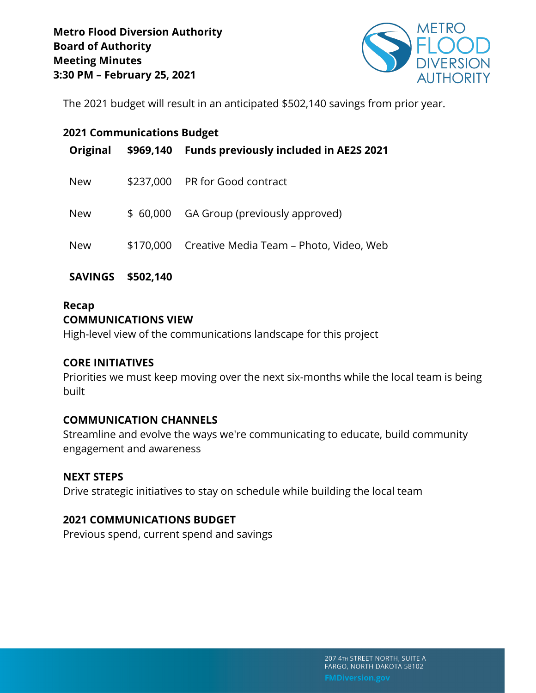

The 2021 budget will result in an anticipated \$502,140 savings from prior year.

| <b>2021 Communications Budget</b> |           |                                                   |
|-----------------------------------|-----------|---------------------------------------------------|
| Original                          | \$969,140 | <b>Funds previously included in AE2S 2021</b>     |
| <b>New</b>                        | \$237,000 | PR for Good contract                              |
| <b>New</b>                        | \$ 60,000 | GA Group (previously approved)                    |
| <b>New</b>                        |           | \$170,000 Creative Media Team – Photo, Video, Web |

**SAVINGS \$502,140**

# **Recap COMMUNICATIONS VIEW**

High-level view of the communications landscape for this project

# **CORE INITIATIVES**

Priorities we must keep moving over the next six-months while the local team is being built

# **COMMUNICATION CHANNELS**

Streamline and evolve the ways we're communicating to educate, build community engagement and awareness

# **NEXT STEPS**

Drive strategic initiatives to stay on schedule while building the local team

# **2021 COMMUNICATIONS BUDGET**

Previous spend, current spend and savings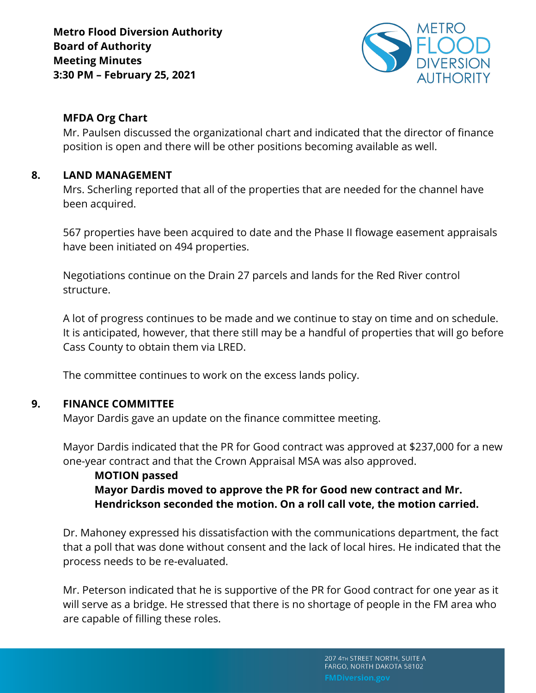

# **MFDA Org Chart**

Mr. Paulsen discussed the organizational chart and indicated that the director of finance position is open and there will be other positions becoming available as well.

### **8. LAND MANAGEMENT**

Mrs. Scherling reported that all of the properties that are needed for the channel have been acquired.

567 properties have been acquired to date and the Phase II flowage easement appraisals have been initiated on 494 properties.

Negotiations continue on the Drain 27 parcels and lands for the Red River control structure.

A lot of progress continues to be made and we continue to stay on time and on schedule. It is anticipated, however, that there still may be a handful of properties that will go before Cass County to obtain them via LRED.

The committee continues to work on the excess lands policy.

# **9. FINANCE COMMITTEE**

Mayor Dardis gave an update on the finance committee meeting.

Mayor Dardis indicated that the PR for Good contract was approved at \$237,000 for a new one-year contract and that the Crown Appraisal MSA was also approved.

# **MOTION passed Mayor Dardis moved to approve the PR for Good new contract and Mr. Hendrickson seconded the motion. On a roll call vote, the motion carried.**

Dr. Mahoney expressed his dissatisfaction with the communications department, the fact that a poll that was done without consent and the lack of local hires. He indicated that the process needs to be re-evaluated.

Mr. Peterson indicated that he is supportive of the PR for Good contract for one year as it will serve as a bridge. He stressed that there is no shortage of people in the FM area who are capable of filling these roles.